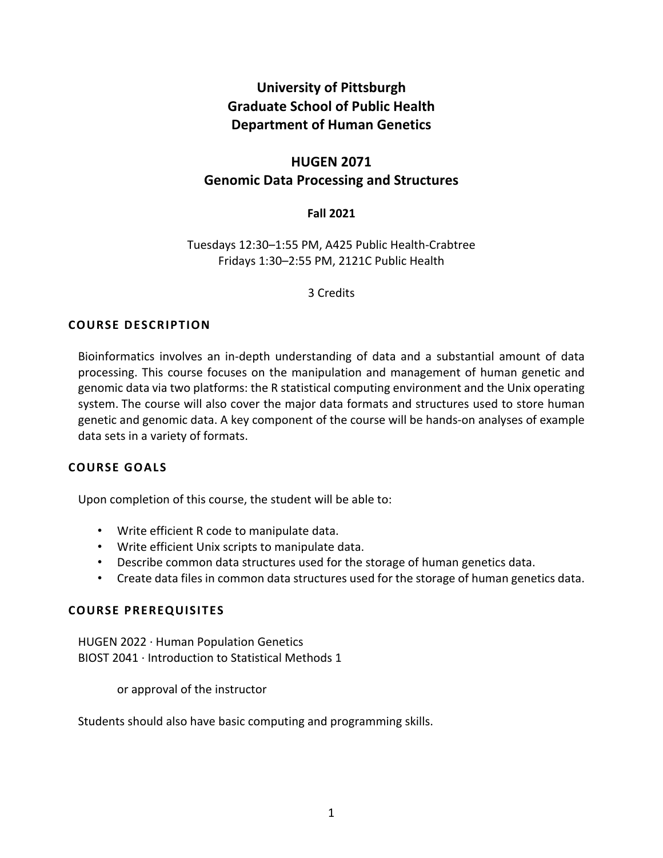# **University of Pittsburgh Graduate School of Public Health Department of Human Genetics**

# **HUGEN 2071 Genomic Data Processing and Structures**

# **Fall 2021**

Tuesdays 12:30–1:55 PM, A425 Public Health-Crabtree Fridays 1:30–2:55 PM, 2121C Public Health

3 Credits

# **COURSE DESCRIPTION**

Bioinformatics involves an in-depth understanding of data and a substantial amount of data processing. This course focuses on the manipulation and management of human genetic and genomic data via two platforms: the R statistical computing environment and the Unix operating system. The course will also cover the major data formats and structures used to store human genetic and genomic data. A key component of the course will be hands-on analyses of example data sets in a variety of formats.

# **COURSE GOALS**

Upon completion of this course, the student will be able to:

- Write efficient R code to manipulate data.
- Write efficient Unix scripts to manipulate data.
- Describe common data structures used for the storage of human genetics data.
- Create data files in common data structures used for the storage of human genetics data.

# **COURSE PREREQUISITES**

HUGEN 2022 · Human Population Genetics BIOST 2041 · Introduction to Statistical Methods 1

or approval of the instructor

Students should also have basic computing and programming skills.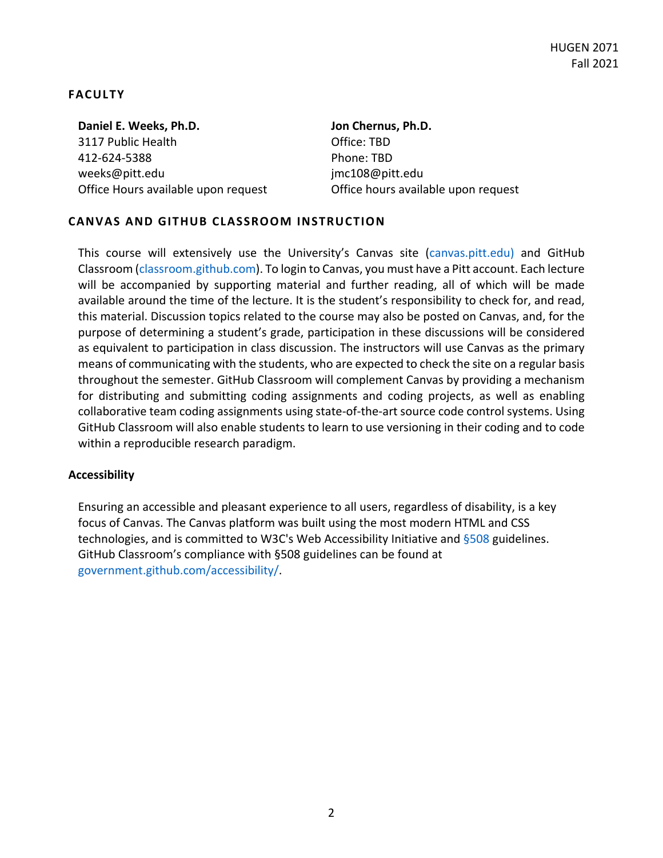# **FACULTY**

**Daniel E. Weeks, Ph.D.** 3117 Public Health 412-624-5388 weeks@pitt.edu Office Hours available upon request

# **Jon Chernus, Ph.D.** Office: TBD Phone: TBD jmc108@pitt.edu Office hours available upon request

# **CANVAS AND GITHUB CLASSROOM INSTRUCTION**

This course will extensively use the University's Canvas site (canvas.pitt.edu) and GitHub Classroom (classroom.github.com). To login to Canvas, you must have a Pitt account. Each lecture will be accompanied by supporting material and further reading, all of which will be made available around the time of the lecture. It is the student's responsibility to check for, and read, this material. Discussion topics related to the course may also be posted on Canvas, and, for the purpose of determining a student's grade, participation in these discussions will be considered as equivalent to participation in class discussion. The instructors will use Canvas as the primary means of communicating with the students, who are expected to check the site on a regular basis throughout the semester. GitHub Classroom will complement Canvas by providing a mechanism for distributing and submitting coding assignments and coding projects, as well as enabling collaborative team coding assignments using state-of-the-art source code control systems. Using GitHub Classroom will also enable students to learn to use versioning in their coding and to code within a reproducible research paradigm.

## **Accessibility**

Ensuring an accessible and pleasant experience to all users, regardless of disability, is a key focus of Canvas. The Canvas platform was built using the most modern HTML and CSS technologies, and is committed to W3C's Web Accessibility Initiative and §508 guidelines. GitHub Classroom's compliance with §508 guidelines can be found at government.github.com/accessibility/.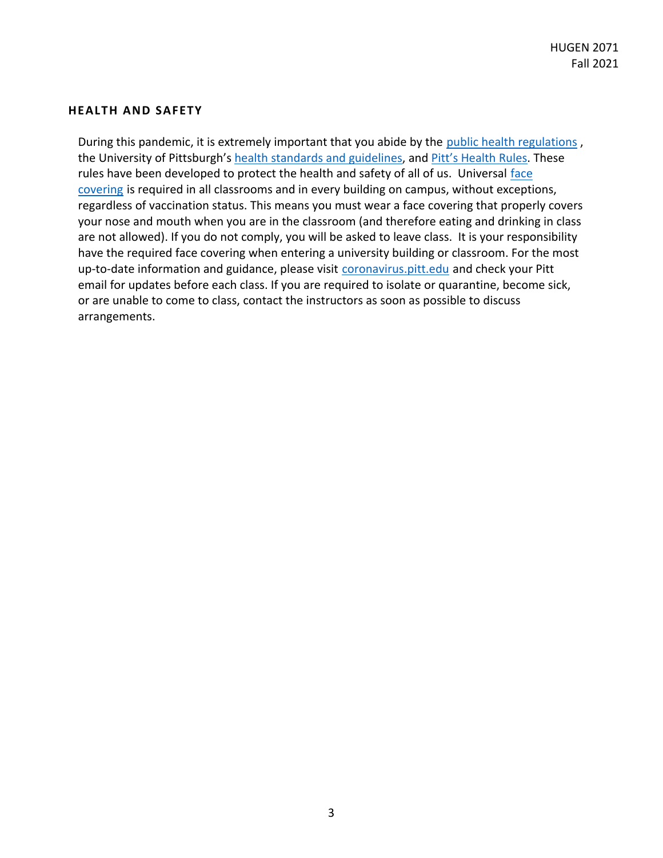## **HEALTH AND SAFETY**

During this pandemic, it is extremely important that you abide by the public health regulations , the University of Pittsburgh's health standards and guidelines, and Pitt's Health Rules. These rules have been developed to protect the health and safety of all of us. Universal face covering is required in all classrooms and in every building on campus, without exceptions, regardless of vaccination status. This means you must wear a face covering that properly covers your nose and mouth when you are in the classroom (and therefore eating and drinking in class are not allowed). If you do not comply, you will be asked to leave class. It is your responsibility have the required face covering when entering a university building or classroom. For the most up-to-date information and guidance, please visit coronavirus.pitt.edu and check your Pitt email for updates before each class. If you are required to isolate or quarantine, become sick, or are unable to come to class, contact the instructors as soon as possible to discuss arrangements.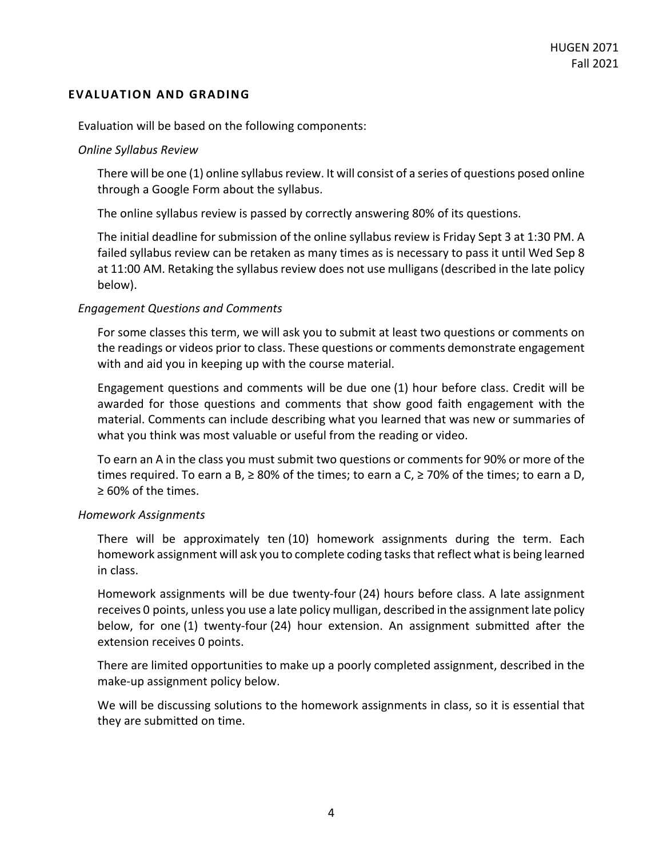## **EVALUATION AND GRADING**

Evaluation will be based on the following components:

## *Online Syllabus Review*

There will be one (1) online syllabus review. It will consist of a series of questions posed online through a Google Form about the syllabus.

The online syllabus review is passed by correctly answering 80% of its questions.

The initial deadline for submission of the online syllabus review is Friday Sept 3 at 1:30 PM. A failed syllabus review can be retaken as many times as is necessary to pass it until Wed Sep 8 at 11:00 AM. Retaking the syllabus review does not use mulligans (described in the late policy below).

## *Engagement Questions and Comments*

For some classes this term, we will ask you to submit at least two questions or comments on the readings or videos prior to class. These questions or comments demonstrate engagement with and aid you in keeping up with the course material.

Engagement questions and comments will be due one (1) hour before class. Credit will be awarded for those questions and comments that show good faith engagement with the material. Comments can include describing what you learned that was new or summaries of what you think was most valuable or useful from the reading or video.

To earn an A in the class you must submit two questions or comments for 90% or more of the times required. To earn a B,  $\geq$  80% of the times; to earn a C,  $\geq$  70% of the times; to earn a D, ≥ 60% of the times.

## *Homework Assignments*

There will be approximately ten (10) homework assignments during the term. Each homework assignment will ask you to complete coding tasks that reflect what is being learned in class.

Homework assignments will be due twenty-four (24) hours before class. A late assignment receives 0 points, unless you use a late policy mulligan, described in the assignment late policy below, for one (1) twenty-four (24) hour extension. An assignment submitted after the extension receives 0 points.

There are limited opportunities to make up a poorly completed assignment, described in the make-up assignment policy below.

We will be discussing solutions to the homework assignments in class, so it is essential that they are submitted on time.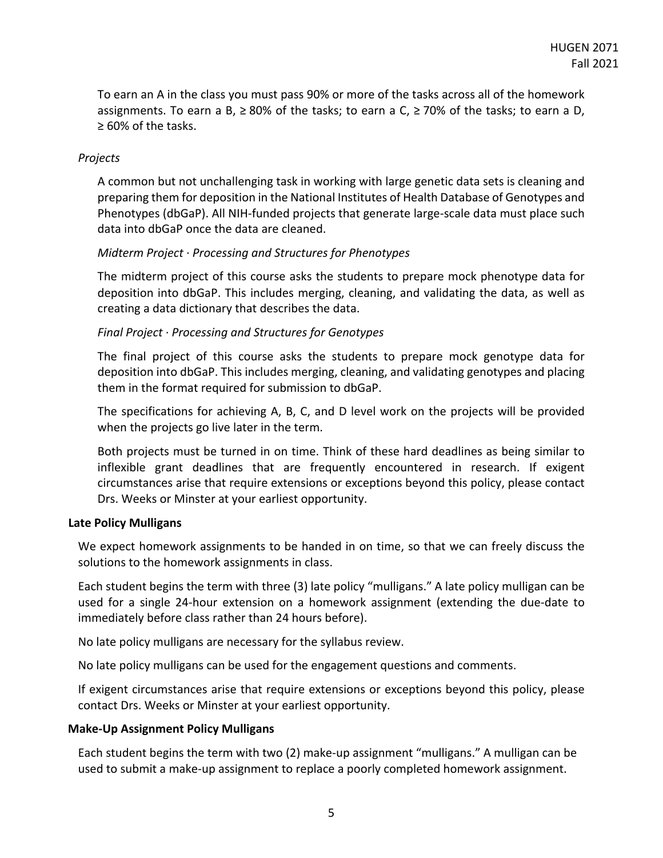To earn an A in the class you must pass 90% or more of the tasks across all of the homework assignments. To earn a B,  $\geq 80\%$  of the tasks; to earn a C,  $\geq 70\%$  of the tasks; to earn a D, ≥ 60% of the tasks.

## *Projects*

A common but not unchallenging task in working with large genetic data sets is cleaning and preparing them for deposition in the National Institutes of Health Database of Genotypes and Phenotypes (dbGaP). All NIH-funded projects that generate large-scale data must place such data into dbGaP once the data are cleaned.

# *Midterm Project* · *Processing and Structures for Phenotypes*

The midterm project of this course asks the students to prepare mock phenotype data for deposition into dbGaP. This includes merging, cleaning, and validating the data, as well as creating a data dictionary that describes the data.

# *Final Project* · *Processing and Structures for Genotypes*

The final project of this course asks the students to prepare mock genotype data for deposition into dbGaP. This includes merging, cleaning, and validating genotypes and placing them in the format required for submission to dbGaP.

The specifications for achieving A, B, C, and D level work on the projects will be provided when the projects go live later in the term.

Both projects must be turned in on time. Think of these hard deadlines as being similar to inflexible grant deadlines that are frequently encountered in research. If exigent circumstances arise that require extensions or exceptions beyond this policy, please contact Drs. Weeks or Minster at your earliest opportunity.

## **Late Policy Mulligans**

We expect homework assignments to be handed in on time, so that we can freely discuss the solutions to the homework assignments in class.

Each student begins the term with three (3) late policy "mulligans." A late policy mulligan can be used for a single 24-hour extension on a homework assignment (extending the due-date to immediately before class rather than 24 hours before).

No late policy mulligans are necessary for the syllabus review.

No late policy mulligans can be used for the engagement questions and comments.

If exigent circumstances arise that require extensions or exceptions beyond this policy, please contact Drs. Weeks or Minster at your earliest opportunity.

## **Make-Up Assignment Policy Mulligans**

Each student begins the term with two (2) make-up assignment "mulligans." A mulligan can be used to submit a make-up assignment to replace a poorly completed homework assignment.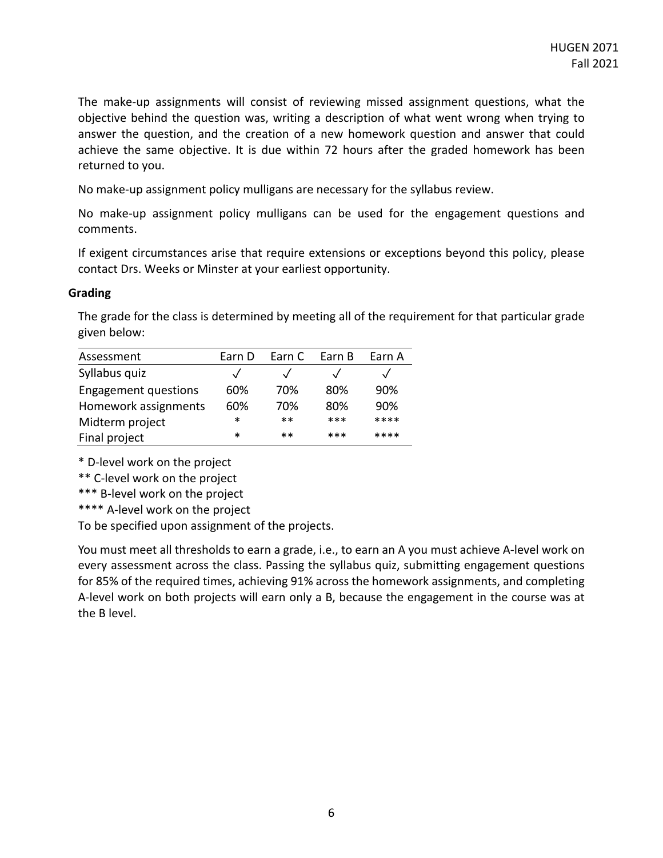The make-up assignments will consist of reviewing missed assignment questions, what the objective behind the question was, writing a description of what went wrong when trying to answer the question, and the creation of a new homework question and answer that could achieve the same objective. It is due within 72 hours after the graded homework has been returned to you.

No make-up assignment policy mulligans are necessary for the syllabus review.

No make-up assignment policy mulligans can be used for the engagement questions and comments.

If exigent circumstances arise that require extensions or exceptions beyond this policy, please contact Drs. Weeks or Minster at your earliest opportunity.

## **Grading**

The grade for the class is determined by meeting all of the requirement for that particular grade given below:

| Assessment                  | Earn D     | Earn C | Earn B | Earn A |
|-----------------------------|------------|--------|--------|--------|
| Syllabus quiz               | $\sqrt{ }$ |        |        |        |
| <b>Engagement questions</b> | 60%        | 70%    | 80%    | 90%    |
| Homework assignments        | 60%        | 70%    | 80%    | 90%    |
| Midterm project             | *          | $**$   | $***$  | ****   |
| Final project               | *          | $**$   | $***$  | ****   |

\* D-level work on the project

\*\* C-level work on the project

\*\*\* B-level work on the project

\*\*\*\* A-level work on the project

To be specified upon assignment of the projects.

You must meet all thresholds to earn a grade, i.e., to earn an A you must achieve A-level work on every assessment across the class. Passing the syllabus quiz, submitting engagement questions for 85% of the required times, achieving 91% across the homework assignments, and completing A-level work on both projects will earn only a B, because the engagement in the course was at the B level.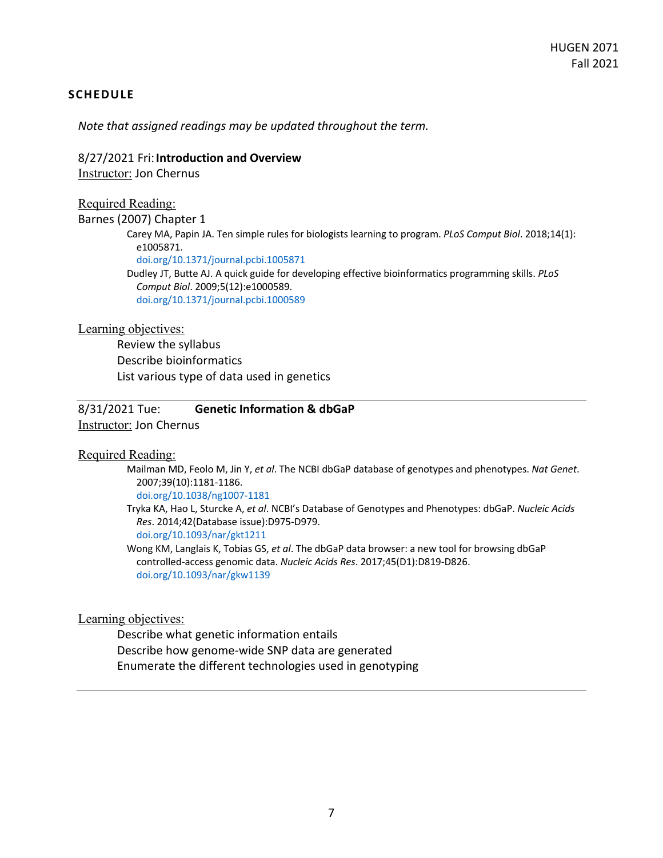## **SCHEDULE**

*Note that assigned readings may be updated throughout the term.*

### 8/27/2021 Fri:**Introduction and Overview**

Instructor: Jon Chernus

## Required Reading:

Barnes (2007) Chapter 1

Carey MA, Papin JA. Ten simple rules for biologists learning to program. *PLoS Comput Biol*. 2018;14(1): e1005871.

doi.org/10.1371/journal.pcbi.1005871

Dudley JT, Butte AJ. A quick guide for developing effective bioinformatics programming skills. *PLoS Comput Biol*. 2009;5(12):e1000589. doi.org/10.1371/journal.pcbi.1000589

### Learning objectives:

Review the syllabus Describe bioinformatics List various type of data used in genetics

8/31/2021 Tue: **Genetic Information & dbGaP**  Instructor: Jon Chernus

## Required Reading:

Mailman MD, Feolo M, Jin Y, *et al*. The NCBI dbGaP database of genotypes and phenotypes. *Nat Genet*. 2007;39(10):1181-1186.

doi.org/10.1038/ng1007-1181

Tryka KA, Hao L, Sturcke A, *et al*. NCBI's Database of Genotypes and Phenotypes: dbGaP. *Nucleic Acids Res*. 2014;42(Database issue):D975-D979.

doi.org/10.1093/nar/gkt1211

Wong KM, Langlais K, Tobias GS, *et al*. The dbGaP data browser: a new tool for browsing dbGaP controlled-access genomic data. *Nucleic Acids Res*. 2017;45(D1):D819-D826. doi.org/10.1093/nar/gkw1139

## Learning objectives:

Describe what genetic information entails Describe how genome-wide SNP data are generated Enumerate the different technologies used in genotyping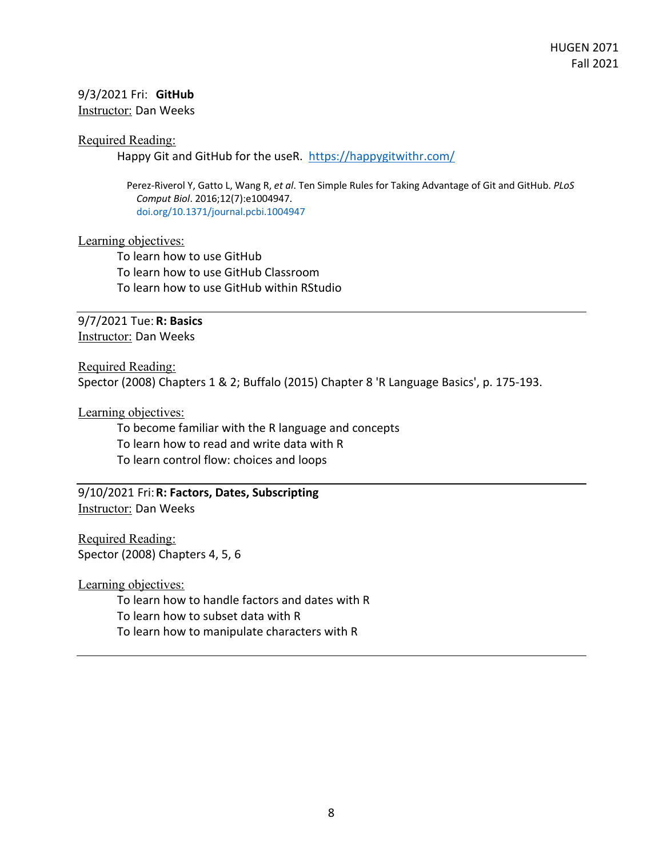# 9/3/2021 Fri: **GitHub**

Instructor: Dan Weeks

## Required Reading:

Happy Git and GitHub for the useR. https://happygitwithr.com/

Perez-Riverol Y, Gatto L, Wang R, *et al*. Ten Simple Rules for Taking Advantage of Git and GitHub. *PLoS Comput Biol*. 2016;12(7):e1004947. doi.org/10.1371/journal.pcbi.1004947

## Learning objectives:

To learn how to use GitHub To learn how to use GitHub Classroom To learn how to use GitHub within RStudio

# 9/7/2021 Tue: **R: Basics**

Instructor: Dan Weeks

Required Reading:

Spector (2008) Chapters 1 & 2; Buffalo (2015) Chapter 8 'R Language Basics', p. 175-193.

# Learning objectives:

To become familiar with the R language and concepts To learn how to read and write data with R To learn control flow: choices and loops

9/10/2021 Fri:**R: Factors, Dates, Subscripting**  Instructor: Dan Weeks

Required Reading: Spector (2008) Chapters 4, 5, 6

Learning objectives:

To learn how to handle factors and dates with R

To learn how to subset data with R

To learn how to manipulate characters with R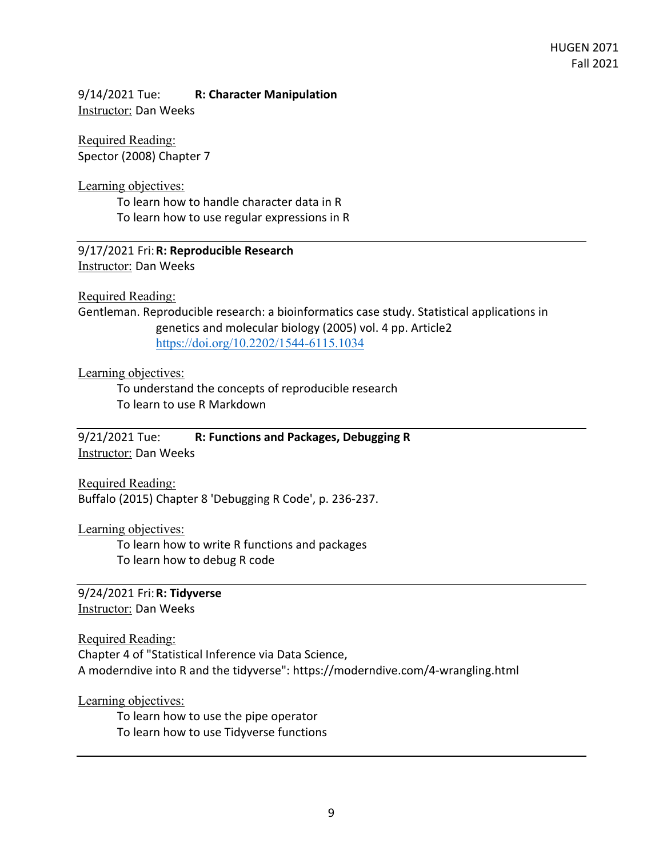9/14/2021 Tue: **R: Character Manipulation**  Instructor: Dan Weeks

Required Reading: Spector (2008) Chapter 7

Learning objectives:

To learn how to handle character data in R To learn how to use regular expressions in R

9/17/2021 Fri:**R: Reproducible Research**  Instructor: Dan Weeks

Required Reading:

Gentleman. Reproducible research: a bioinformatics case study. Statistical applications in genetics and molecular biology (2005) vol. 4 pp. Article2 https://doi.org/10.2202/1544-6115.1034

Learning objectives:

To understand the concepts of reproducible research To learn to use R Markdown

9/21/2021 Tue: **R: Functions and Packages, Debugging R**  Instructor: Dan Weeks

Required Reading: Buffalo (2015) Chapter 8 'Debugging R Code', p. 236-237.

Learning objectives:

To learn how to write R functions and packages To learn how to debug R code

9/24/2021 Fri:**R: Tidyverse**  Instructor: Dan Weeks

Required Reading:

Chapter 4 of "Statistical Inference via Data Science, A moderndive into R and the tidyverse": https://moderndive.com/4-wrangling.html

Learning objectives:

To learn how to use the pipe operator To learn how to use Tidyverse functions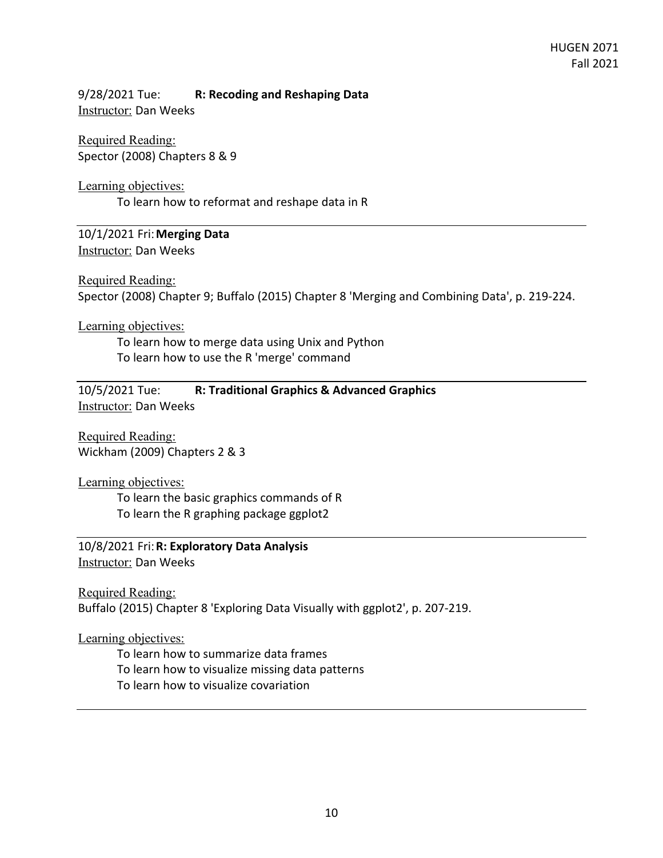9/28/2021 Tue: **R: Recoding and Reshaping Data**  Instructor: Dan Weeks

Required Reading: Spector (2008) Chapters 8 & 9

Learning objectives:

To learn how to reformat and reshape data in R

10/1/2021 Fri:**Merging Data**  Instructor: Dan Weeks

Required Reading: Spector (2008) Chapter 9; Buffalo (2015) Chapter 8 'Merging and Combining Data', p. 219-224.

Learning objectives:

To learn how to merge data using Unix and Python To learn how to use the R 'merge' command

10/5/2021 Tue: **R: Traditional Graphics & Advanced Graphics**  Instructor: Dan Weeks

Required Reading: Wickham (2009) Chapters 2 & 3

Learning objectives:

To learn the basic graphics commands of R To learn the R graphing package ggplot2

10/8/2021 Fri:**R: Exploratory Data Analysis**  Instructor: Dan Weeks

Required Reading: Buffalo (2015) Chapter 8 'Exploring Data Visually with ggplot2', p. 207-219.

Learning objectives:

To learn how to summarize data frames To learn how to visualize missing data patterns To learn how to visualize covariation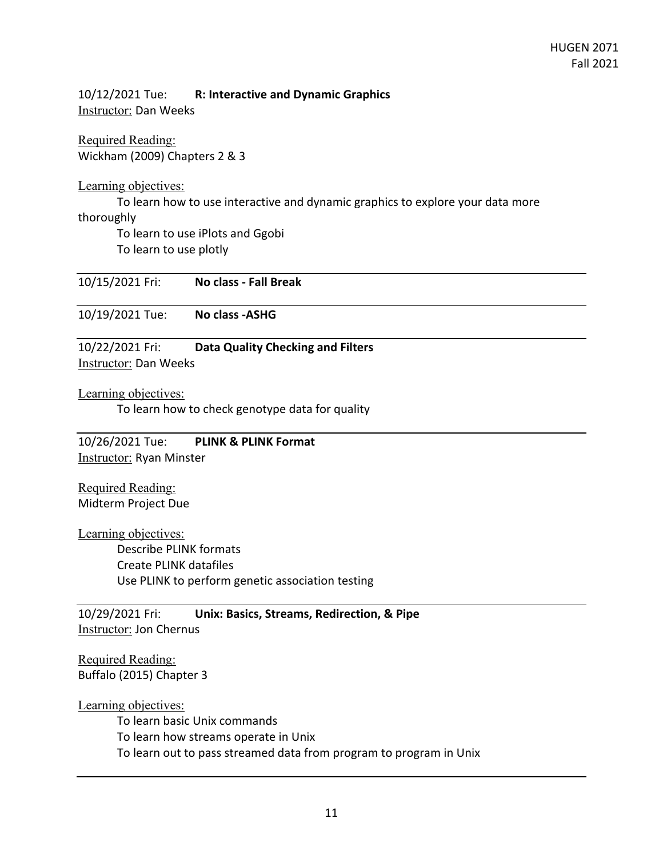10/12/2021 Tue: **R: Interactive and Dynamic Graphics**  Instructor: Dan Weeks

Required Reading: Wickham (2009) Chapters 2 & 3

Learning objectives:

To learn how to use interactive and dynamic graphics to explore your data more

## thoroughly

To learn to use iPlots and Ggobi To learn to use plotly

10/15/2021 Fri: **No class - Fall Break** 

10/19/2021 Tue: **No class -ASHG** 

10/22/2021 Fri: **Data Quality Checking and Filters**  Instructor: Dan Weeks

Learning objectives:

To learn how to check genotype data for quality

10/26/2021 Tue: **PLINK & PLINK Format**  Instructor: Ryan Minster

Required Reading: Midterm Project Due

Learning objectives: Describe PLINK formats Create PLINK datafiles Use PLINK to perform genetic association testing

10/29/2021 Fri: **Unix: Basics, Streams, Redirection, & Pipe Instructor: Jon Chernus** 

Required Reading: Buffalo (2015) Chapter 3

Learning objectives:

To learn basic Unix commands To learn how streams operate in Unix To learn out to pass streamed data from program to program in Unix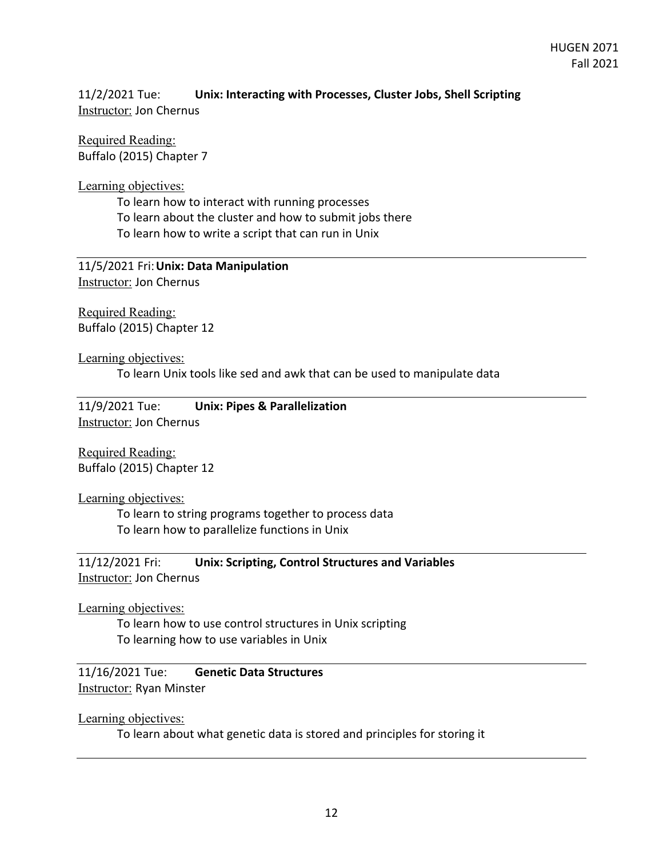11/2/2021 Tue: **Unix: Interacting with Processes, Cluster Jobs, Shell Scripting**  Instructor: Jon Chernus

Required Reading: Buffalo (2015) Chapter 7

Learning objectives:

To learn how to interact with running processes

To learn about the cluster and how to submit jobs there

To learn how to write a script that can run in Unix

11/5/2021 Fri:**Unix: Data Manipulation**  Instructor: Jon Chernus

Required Reading: Buffalo (2015) Chapter 12

Learning objectives: To learn Unix tools like sed and awk that can be used to manipulate data

11/9/2021 Tue: **Unix: Pipes & Parallelization**  Instructor: Jon Chernus

Required Reading: Buffalo (2015) Chapter 12

Learning objectives:

To learn to string programs together to process data To learn how to parallelize functions in Unix

11/12/2021 Fri: **Unix: Scripting, Control Structures and Variables**  Instructor: Jon Chernus

Learning objectives:

To learn how to use control structures in Unix scripting To learning how to use variables in Unix

11/16/2021 Tue: **Genetic Data Structures Instructor: Ryan Minster** 

Learning objectives:

To learn about what genetic data is stored and principles for storing it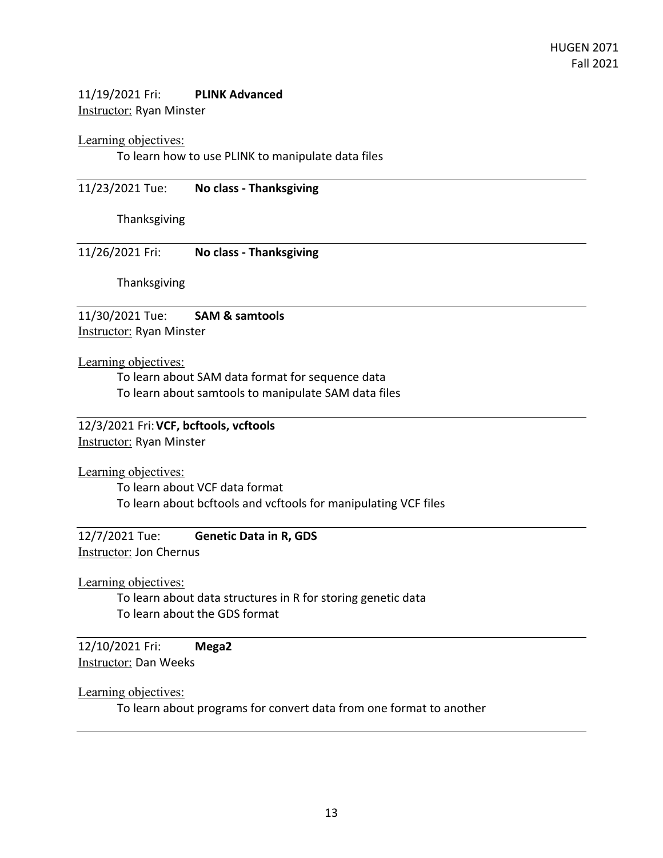# 11/19/2021 Fri: **PLINK Advanced**  Instructor: Ryan Minster

## Learning objectives:

To learn how to use PLINK to manipulate data files

11/23/2021 Tue: **No class - Thanksgiving** 

Thanksgiving

11/26/2021 Fri: **No class - Thanksgiving** 

Thanksgiving

11/30/2021 Tue: **SAM & samtools Instructor: Ryan Minster** 

Learning objectives:

To learn about SAM data format for sequence data To learn about samtools to manipulate SAM data files

12/3/2021 Fri:**VCF, bcftools, vcftools** 

Instructor: Ryan Minster

Learning objectives:

To learn about VCF data format To learn about bcftools and vcftools for manipulating VCF files

12/7/2021 Tue: **Genetic Data in R, GDS**  Instructor: Jon Chernus

Learning objectives:

To learn about data structures in R for storing genetic data To learn about the GDS format

12/10/2021 Fri: **Mega2**  Instructor: Dan Weeks

Learning objectives:

To learn about programs for convert data from one format to another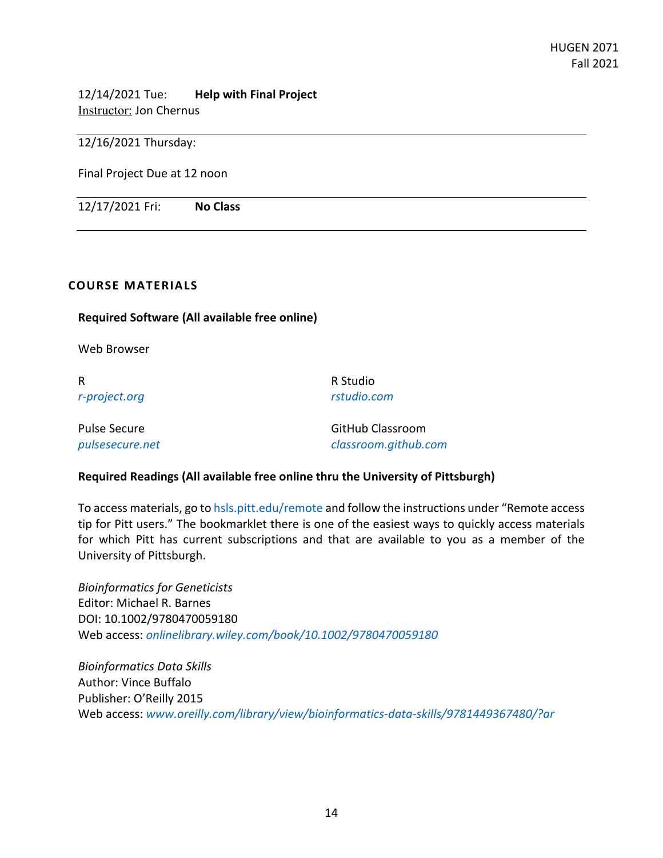12/14/2021 Tue: **Help with Final Project**  Instructor: Jon Chernus

12/16/2021 Thursday:

Final Project Due at 12 noon

12/17/2021 Fri: **No Class** 

## **COURSE MATERIALS**

## **Required Software (All available free online)**

Web Browser

R *r-project.org* R Studio *rstudio.com*

| Pulse Secure    | <b>GitHub Classroom</b> |
|-----------------|-------------------------|
| pulsesecure.net | classroom.github.com    |

## **Required Readings (All available free online thru the University of Pittsburgh)**

To access materials, go to hsls.pitt.edu/remote and follow the instructions under "Remote access tip for Pitt users." The bookmarklet there is one of the easiest ways to quickly access materials for which Pitt has current subscriptions and that are available to you as a member of the University of Pittsburgh.

*Bioinformatics for Geneticists* Editor: Michael R. Barnes DOI: 10.1002/9780470059180 Web access: *onlinelibrary.wiley.com/book/10.1002/9780470059180*

*Bioinformatics Data Skills* Author: Vince Buffalo Publisher: O'Reilly 2015 Web access: *www.oreilly.com/library/view/bioinformatics-data-skills/9781449367480/?ar*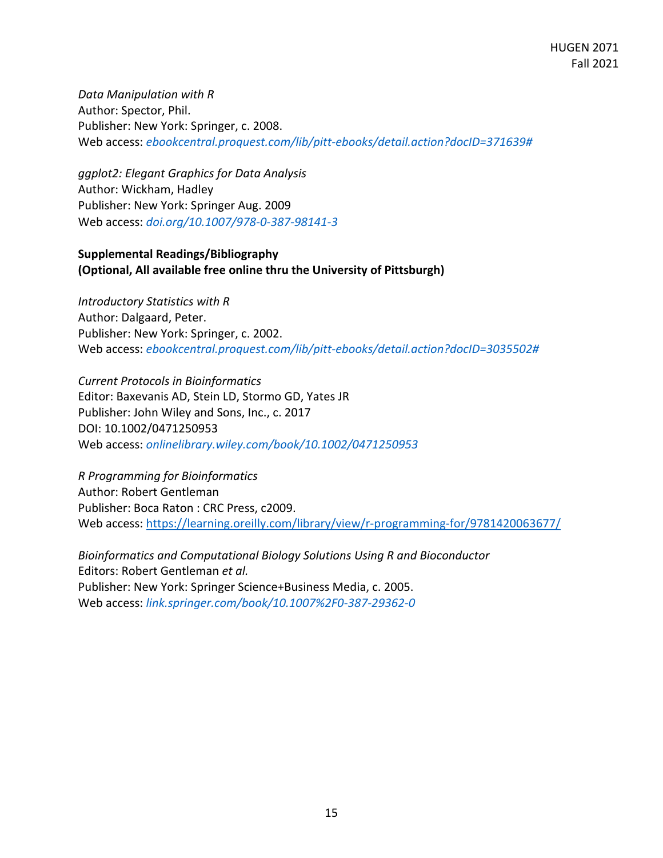*Data Manipulation with R* Author: Spector, Phil. Publisher: New York: Springer, c. 2008. Web access: *ebookcentral.proquest.com/lib/pitt-ebooks/detail.action?docID=371639#*

*ggplot2: Elegant Graphics for Data Analysis*  Author: Wickham, Hadley Publisher: New York: Springer Aug. 2009 Web access: *doi.org/10.1007/978-0-387-98141-3*

# **Supplemental Readings/Bibliography (Optional, All available free online thru the University of Pittsburgh)**

*Introductory Statistics with R* Author: Dalgaard, Peter. Publisher: New York: Springer, c. 2002. Web access: *ebookcentral.proquest.com/lib/pitt-ebooks/detail.action?docID=3035502#*

*Current Protocols in Bioinformatics*  Editor: Baxevanis AD, Stein LD, Stormo GD, Yates JR Publisher: John Wiley and Sons, Inc., c. 2017 DOI: 10.1002/0471250953 Web access: *onlinelibrary.wiley.com/book/10.1002/0471250953*

*R Programming for Bioinformatics* Author: Robert Gentleman Publisher: Boca Raton : CRC Press, c2009. Web access: https://learning.oreilly.com/library/view/r-programming-for/9781420063677/

*Bioinformatics and Computational Biology Solutions Using R and Bioconductor*  Editors: Robert Gentleman *et al.* Publisher: New York: Springer Science+Business Media, c. 2005. Web access: *link.springer.com/book/10.1007%2F0-387-29362-0*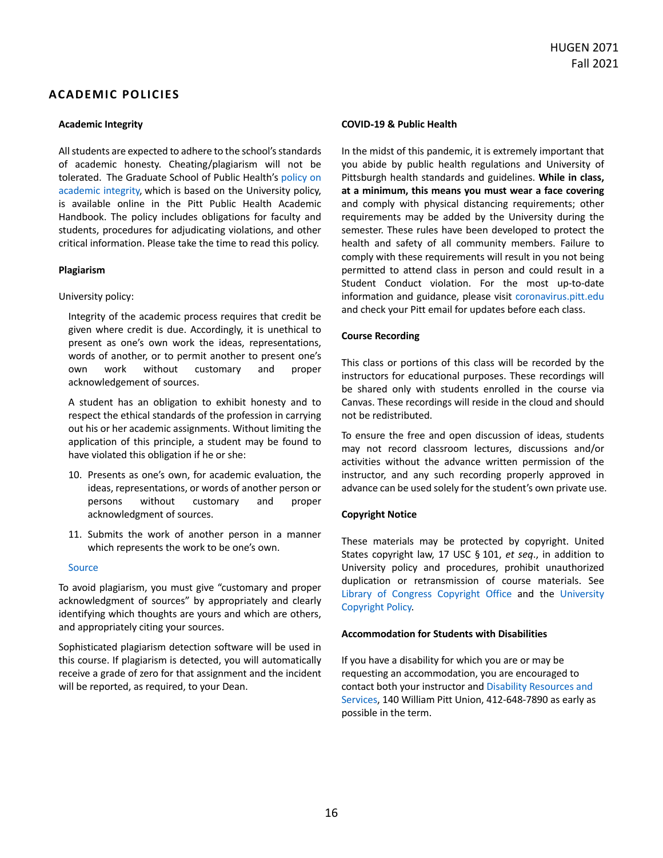## **ACADEMIC POLICIES**

### **Academic Integrity**

All students are expected to adhere to the school's standards of academic honesty. Cheating/plagiarism will not be tolerated. The Graduate School of Public Health's policy on academic integrity, which is based on the University policy, is available online in the Pitt Public Health Academic Handbook. The policy includes obligations for faculty and students, procedures for adjudicating violations, and other critical information. Please take the time to read this policy.

#### **Plagiarism**

#### University policy:

Integrity of the academic process requires that credit be given where credit is due. Accordingly, it is unethical to present as one's own work the ideas, representations, words of another, or to permit another to present one's own work without customary and proper acknowledgement of sources.

A student has an obligation to exhibit honesty and to respect the ethical standards of the profession in carrying out his or her academic assignments. Without limiting the application of this principle, a student may be found to have violated this obligation if he or she:

- 10. Presents as one's own, for academic evaluation, the ideas, representations, or words of another person or persons without customary and proper acknowledgment of sources.
- 11. Submits the work of another person in a manner which represents the work to be one's own.

#### Source

To avoid plagiarism, you must give "customary and proper acknowledgment of sources" by appropriately and clearly identifying which thoughts are yours and which are others, and appropriately citing your sources.

Sophisticated plagiarism detection software will be used in this course. If plagiarism is detected, you will automatically receive a grade of zero for that assignment and the incident will be reported, as required, to your Dean.

### **COVID**-**19 & Public Health**

In the midst of this pandemic, it is extremely important that you abide by public health regulations and University of Pittsburgh health standards and guidelines. **While in class, at a minimum, this means you must wear a face covering** and comply with physical distancing requirements; other requirements may be added by the University during the semester. These rules have been developed to protect the health and safety of all community members. Failure to comply with these requirements will result in you not being permitted to attend class in person and could result in a Student Conduct violation. For the most up-to-date information and guidance, please visit coronavirus.pitt.edu and check your Pitt email for updates before each class.

### **Course Recording**

This class or portions of this class will be recorded by the instructors for educational purposes. These recordings will be shared only with students enrolled in the course via Canvas. These recordings will reside in the cloud and should not be redistributed.

To ensure the free and open discussion of ideas, students may not record classroom lectures, discussions and/or activities without the advance written permission of the instructor, and any such recording properly approved in advance can be used solely for the student's own private use.

### **Copyright Notice**

These materials may be protected by copyright. United States copyright law, 17 USC § 101, *et seq*., in addition to University policy and procedures, prohibit unauthorized duplication or retransmission of course materials. See Library of Congress Copyright Office and the University Copyright Policy.

### **Accommodation for Students with Disabilities**

If you have a disability for which you are or may be requesting an accommodation, you are encouraged to contact both your instructor and Disability Resources and Services, 140 William Pitt Union, 412-648-7890 as early as possible in the term.